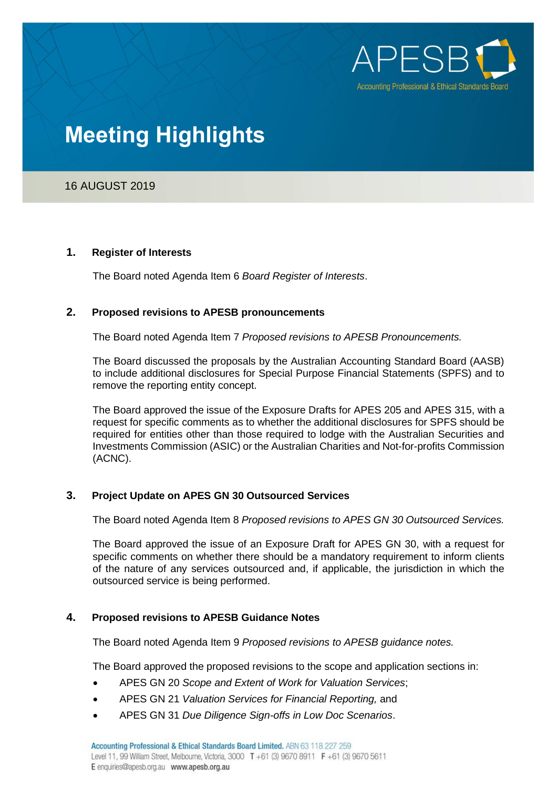

# **Meeting Highlights**

# 16 AUGUST 2019

#### **1. Register of Interests**

The Board noted Agenda Item 6 *Board Register of Interests*.

## **2. Proposed revisions to APESB pronouncements**

The Board noted Agenda Item 7 *Proposed revisions to APESB Pronouncements.*

The Board discussed the proposals by the Australian Accounting Standard Board (AASB) to include additional disclosures for Special Purpose Financial Statements (SPFS) and to remove the reporting entity concept.

The Board approved the issue of the Exposure Drafts for APES 205 and APES 315, with a request for specific comments as to whether the additional disclosures for SPFS should be required for entities other than those required to lodge with the Australian Securities and Investments Commission (ASIC) or the Australian Charities and Not-for-profits Commission (ACNC).

## **3. Project Update on APES GN 30 Outsourced Services**

The Board noted Agenda Item 8 *Proposed revisions to APES GN 30 Outsourced Services.*

The Board approved the issue of an Exposure Draft for APES GN 30, with a request for specific comments on whether there should be a mandatory requirement to inform clients of the nature of any services outsourced and, if applicable, the jurisdiction in which the outsourced service is being performed.

## **4. Proposed revisions to APESB Guidance Notes**

The Board noted Agenda Item 9 *Proposed revisions to APESB guidance notes.*

The Board approved the proposed revisions to the scope and application sections in:

- APES GN 20 *Scope and Extent of Work for Valuation Services*;
- APES GN 21 *Valuation Services for Financial Reporting,* and
- APES GN 31 *Due Diligence Sign-offs in Low Doc Scenarios*.